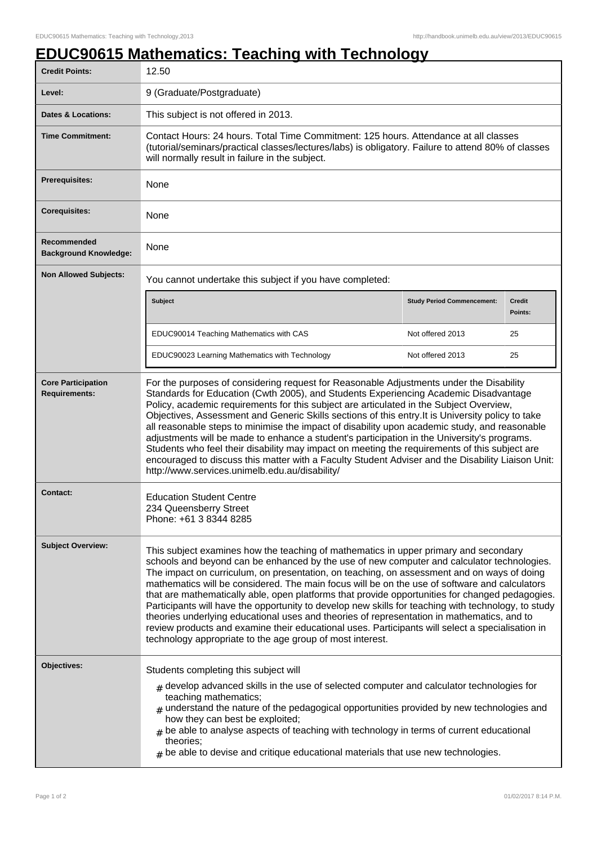## **EDUC90615 Mathematics: Teaching with Technology**

| <b>Credit Points:</b>                             | 12.50                                                                                                                                                                                                                                                                                                                                                                                                                                                                                                                                                                                                                                                                                                                                                                                                                                                      |                                   |                   |
|---------------------------------------------------|------------------------------------------------------------------------------------------------------------------------------------------------------------------------------------------------------------------------------------------------------------------------------------------------------------------------------------------------------------------------------------------------------------------------------------------------------------------------------------------------------------------------------------------------------------------------------------------------------------------------------------------------------------------------------------------------------------------------------------------------------------------------------------------------------------------------------------------------------------|-----------------------------------|-------------------|
| Level:                                            | 9 (Graduate/Postgraduate)                                                                                                                                                                                                                                                                                                                                                                                                                                                                                                                                                                                                                                                                                                                                                                                                                                  |                                   |                   |
| <b>Dates &amp; Locations:</b>                     | This subject is not offered in 2013.                                                                                                                                                                                                                                                                                                                                                                                                                                                                                                                                                                                                                                                                                                                                                                                                                       |                                   |                   |
| <b>Time Commitment:</b>                           | Contact Hours: 24 hours. Total Time Commitment: 125 hours. Attendance at all classes<br>(tutorial/seminars/practical classes/lectures/labs) is obligatory. Failure to attend 80% of classes<br>will normally result in failure in the subject.                                                                                                                                                                                                                                                                                                                                                                                                                                                                                                                                                                                                             |                                   |                   |
| <b>Prerequisites:</b>                             | None                                                                                                                                                                                                                                                                                                                                                                                                                                                                                                                                                                                                                                                                                                                                                                                                                                                       |                                   |                   |
| <b>Corequisites:</b>                              | None                                                                                                                                                                                                                                                                                                                                                                                                                                                                                                                                                                                                                                                                                                                                                                                                                                                       |                                   |                   |
| Recommended<br><b>Background Knowledge:</b>       | None                                                                                                                                                                                                                                                                                                                                                                                                                                                                                                                                                                                                                                                                                                                                                                                                                                                       |                                   |                   |
| <b>Non Allowed Subjects:</b>                      | You cannot undertake this subject if you have completed:                                                                                                                                                                                                                                                                                                                                                                                                                                                                                                                                                                                                                                                                                                                                                                                                   |                                   |                   |
|                                                   | <b>Subject</b>                                                                                                                                                                                                                                                                                                                                                                                                                                                                                                                                                                                                                                                                                                                                                                                                                                             | <b>Study Period Commencement:</b> | Credit<br>Points: |
|                                                   | EDUC90014 Teaching Mathematics with CAS                                                                                                                                                                                                                                                                                                                                                                                                                                                                                                                                                                                                                                                                                                                                                                                                                    | Not offered 2013                  | 25                |
|                                                   | EDUC90023 Learning Mathematics with Technology                                                                                                                                                                                                                                                                                                                                                                                                                                                                                                                                                                                                                                                                                                                                                                                                             | Not offered 2013                  | 25                |
| <b>Core Participation</b><br><b>Requirements:</b> | For the purposes of considering request for Reasonable Adjustments under the Disability<br>Standards for Education (Cwth 2005), and Students Experiencing Academic Disadvantage<br>Policy, academic requirements for this subject are articulated in the Subject Overview,<br>Objectives, Assessment and Generic Skills sections of this entry. It is University policy to take<br>all reasonable steps to minimise the impact of disability upon academic study, and reasonable<br>adjustments will be made to enhance a student's participation in the University's programs.<br>Students who feel their disability may impact on meeting the requirements of this subject are<br>encouraged to discuss this matter with a Faculty Student Adviser and the Disability Liaison Unit:<br>http://www.services.unimelb.edu.au/disability/                    |                                   |                   |
| Contact:                                          | <b>Education Student Centre</b><br>234 Queensberry Street<br>Phone: +61 3 8344 8285                                                                                                                                                                                                                                                                                                                                                                                                                                                                                                                                                                                                                                                                                                                                                                        |                                   |                   |
| <b>Subject Overview:</b>                          | This subject examines how the teaching of mathematics in upper primary and secondary<br>schools and beyond can be enhanced by the use of new computer and calculator technologies.<br>The impact on curriculum, on presentation, on teaching, on assessment and on ways of doing<br>mathematics will be considered. The main focus will be on the use of software and calculators<br>that are mathematically able, open platforms that provide opportunities for changed pedagogies.<br>Participants will have the opportunity to develop new skills for teaching with technology, to study<br>theories underlying educational uses and theories of representation in mathematics, and to<br>review products and examine their educational uses. Participants will select a specialisation in<br>technology appropriate to the age group of most interest. |                                   |                   |
| Objectives:                                       | Students completing this subject will<br>$*$ develop advanced skills in the use of selected computer and calculator technologies for<br>teaching mathematics;<br>$#$ understand the nature of the pedagogical opportunities provided by new technologies and<br>how they can best be exploited;<br>$#$ be able to analyse aspects of teaching with technology in terms of current educational<br>theories;<br>$*$ be able to devise and critique educational materials that use new technologies.                                                                                                                                                                                                                                                                                                                                                          |                                   |                   |